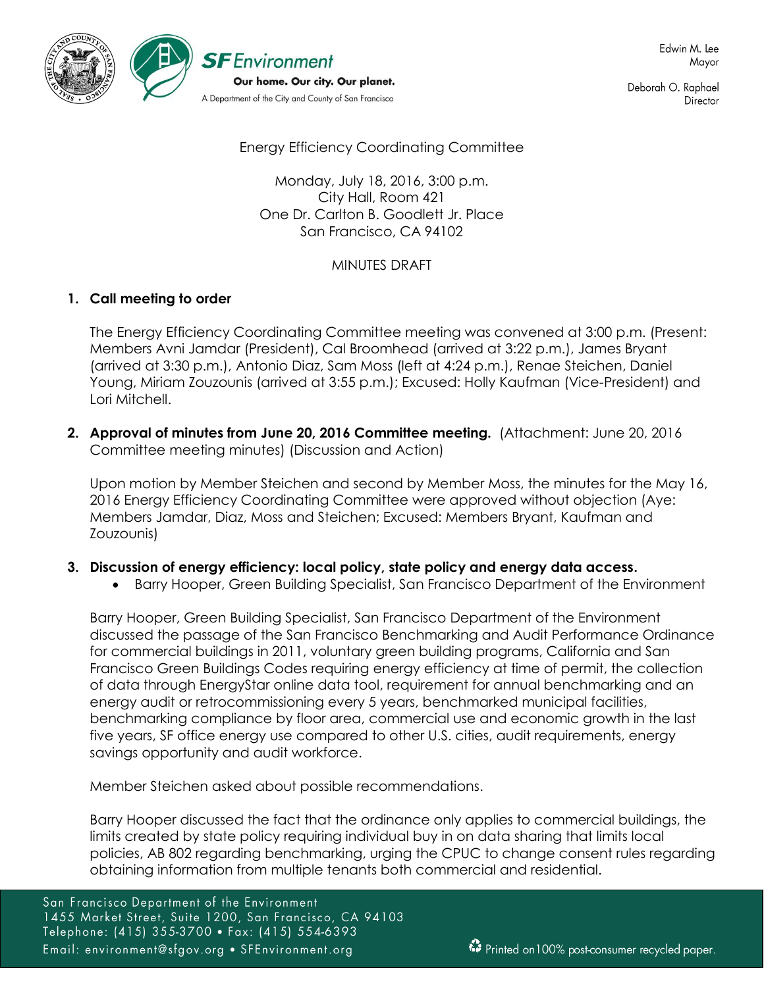

Deborah O. Raphael Director

Energy Efficiency Coordinating Committee

Monday, July 18, 2016, 3:00 p.m. City Hall, Room 421 One Dr. Carlton B. Goodlett Jr. Place San Francisco, CA 94102

## MINUTES DRAFT

# **1. Call meeting to order**

The Energy Efficiency Coordinating Committee meeting was convened at 3:00 p.m. (Present: Members Avni Jamdar (President), Cal Broomhead (arrived at 3:22 p.m.), James Bryant (arrived at 3:30 p.m.), Antonio Diaz, Sam Moss (left at 4:24 p.m.), Renae Steichen, Daniel Young, Miriam Zouzounis (arrived at 3:55 p.m.); Excused: Holly Kaufman (Vice-President) and Lori Mitchell.

**2. Approval of minutes from June 20, 2016 Committee meeting.** (Attachment: June 20, 2016 Committee meeting minutes) (Discussion and Action)

Upon motion by Member Steichen and second by Member Moss, the minutes for the May 16, 2016 Energy Efficiency Coordinating Committee were approved without objection (Aye: Members Jamdar, Diaz, Moss and Steichen; Excused: Members Bryant, Kaufman and Zouzounis)

## **3. Discussion of energy efficiency: local policy, state policy and energy data access.**

Barry Hooper, Green Building Specialist, San Francisco Department of the Environment

Barry Hooper, Green Building Specialist, San Francisco Department of the Environment discussed the passage of the San Francisco Benchmarking and Audit Performance Ordinance for commercial buildings in 2011, voluntary green building programs, California and San Francisco Green Buildings Codes requiring energy efficiency at time of permit, the collection of data through EnergyStar online data tool, requirement for annual benchmarking and an energy audit or retrocommissioning every 5 years, benchmarked municipal facilities, benchmarking compliance by floor area, commercial use and economic growth in the last five years, SF office energy use compared to other U.S. cities, audit requirements, energy savings opportunity and audit workforce.

Member Steichen asked about possible recommendations.

Barry Hooper discussed the fact that the ordinance only applies to commercial buildings, the limits created by state policy requiring individual buy in on data sharing that limits local policies, AB 802 regarding benchmarking, urging the CPUC to change consent rules regarding obtaining information from multiple tenants both commercial and residential.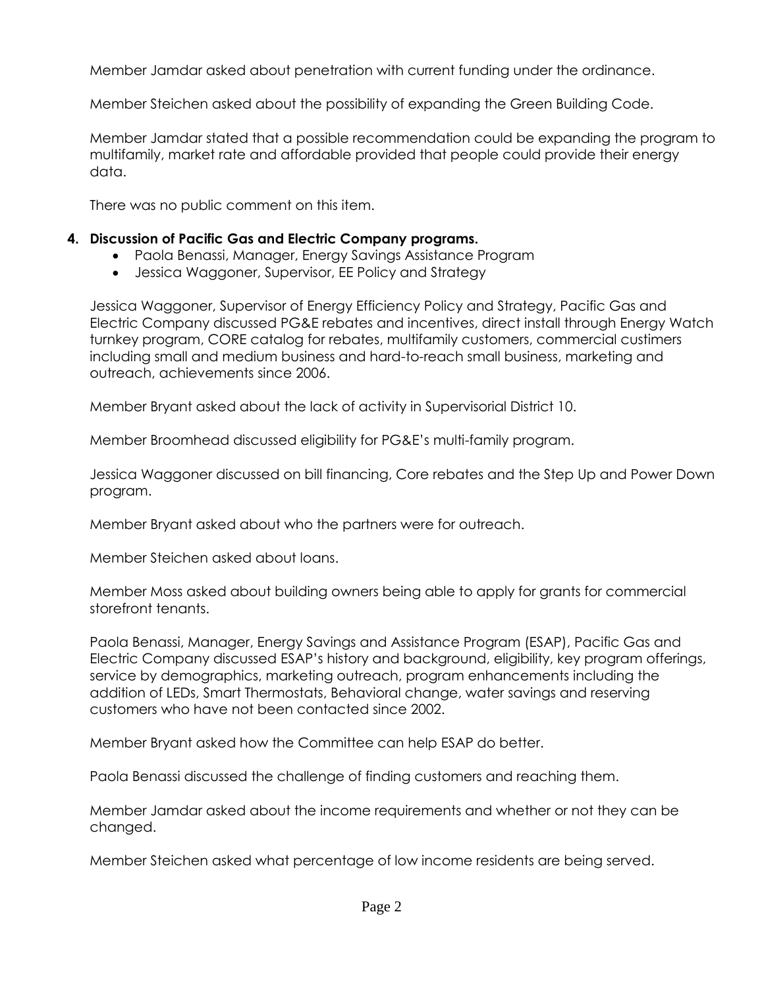Member Jamdar asked about penetration with current funding under the ordinance.

Member Steichen asked about the possibility of expanding the Green Building Code.

Member Jamdar stated that a possible recommendation could be expanding the program to multifamily, market rate and affordable provided that people could provide their energy data.

There was no public comment on this item.

### **4. Discussion of Pacific Gas and Electric Company programs.**

- Paola Benassi, Manager, Energy Savings Assistance Program
- Jessica Waggoner, Supervisor, EE Policy and Strategy

Jessica Waggoner, Supervisor of Energy Efficiency Policy and Strategy, Pacific Gas and Electric Company discussed PG&E rebates and incentives, direct install through Energy Watch turnkey program, CORE catalog for rebates, multifamily customers, commercial custimers including small and medium business and hard-to-reach small business, marketing and outreach, achievements since 2006.

Member Bryant asked about the lack of activity in Supervisorial District 10.

Member Broomhead discussed eligibility for PG&E's multi-family program.

Jessica Waggoner discussed on bill financing, Core rebates and the Step Up and Power Down program.

Member Bryant asked about who the partners were for outreach.

Member Steichen asked about loans.

Member Moss asked about building owners being able to apply for grants for commercial storefront tenants.

Paola Benassi, Manager, Energy Savings and Assistance Program (ESAP), Pacific Gas and Electric Company discussed ESAP's history and background, eligibility, key program offerings, service by demographics, marketing outreach, program enhancements including the addition of LEDs, Smart Thermostats, Behavioral change, water savings and reserving customers who have not been contacted since 2002.

Member Bryant asked how the Committee can help ESAP do better.

Paola Benassi discussed the challenge of finding customers and reaching them.

Member Jamdar asked about the income requirements and whether or not they can be changed.

Member Steichen asked what percentage of low income residents are being served.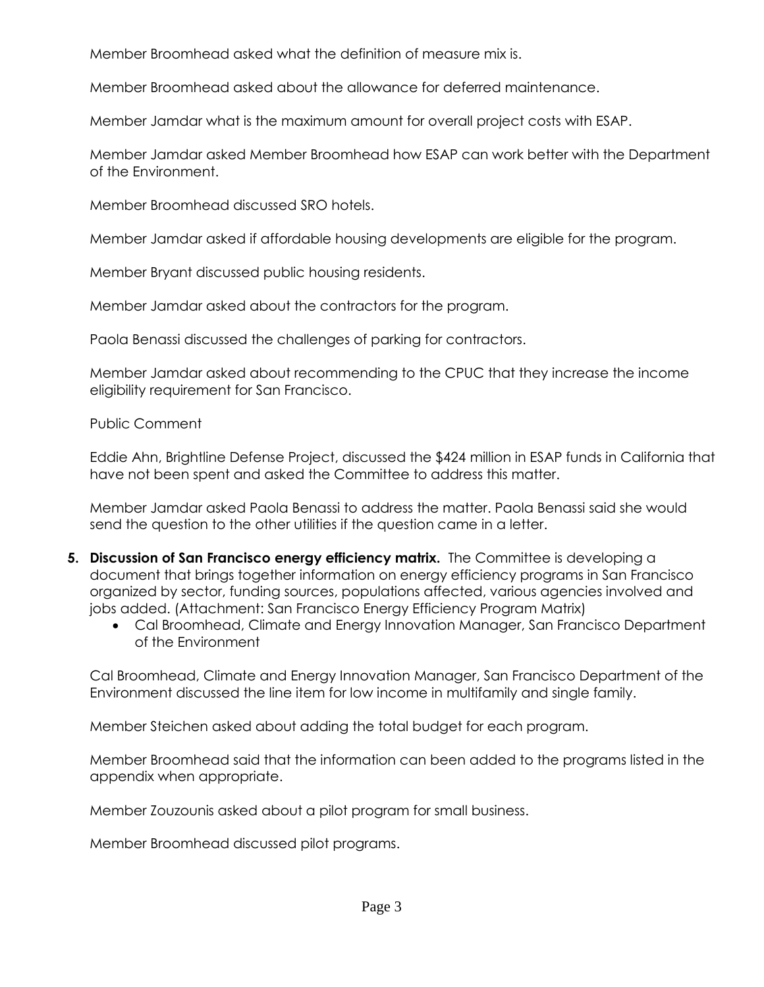Member Broomhead asked what the definition of measure mix is.

Member Broomhead asked about the allowance for deferred maintenance.

Member Jamdar what is the maximum amount for overall project costs with ESAP.

Member Jamdar asked Member Broomhead how ESAP can work better with the Department of the Environment.

Member Broomhead discussed SRO hotels.

Member Jamdar asked if affordable housing developments are eligible for the program.

Member Bryant discussed public housing residents.

Member Jamdar asked about the contractors for the program.

Paola Benassi discussed the challenges of parking for contractors.

Member Jamdar asked about recommending to the CPUC that they increase the income eligibility requirement for San Francisco.

Public Comment

Eddie Ahn, Brightline Defense Project, discussed the \$424 million in ESAP funds in California that have not been spent and asked the Committee to address this matter.

Member Jamdar asked Paola Benassi to address the matter. Paola Benassi said she would send the question to the other utilities if the question came in a letter.

- **5. Discussion of San Francisco energy efficiency matrix.** The Committee is developing a document that brings together information on energy efficiency programs in San Francisco organized by sector, funding sources, populations affected, various agencies involved and jobs added. (Attachment: San Francisco Energy Efficiency Program Matrix)
	- Cal Broomhead, Climate and Energy Innovation Manager, San Francisco Department of the Environment

Cal Broomhead, Climate and Energy Innovation Manager, San Francisco Department of the Environment discussed the line item for low income in multifamily and single family.

Member Steichen asked about adding the total budget for each program.

Member Broomhead said that the information can been added to the programs listed in the appendix when appropriate.

Member Zouzounis asked about a pilot program for small business.

Member Broomhead discussed pilot programs.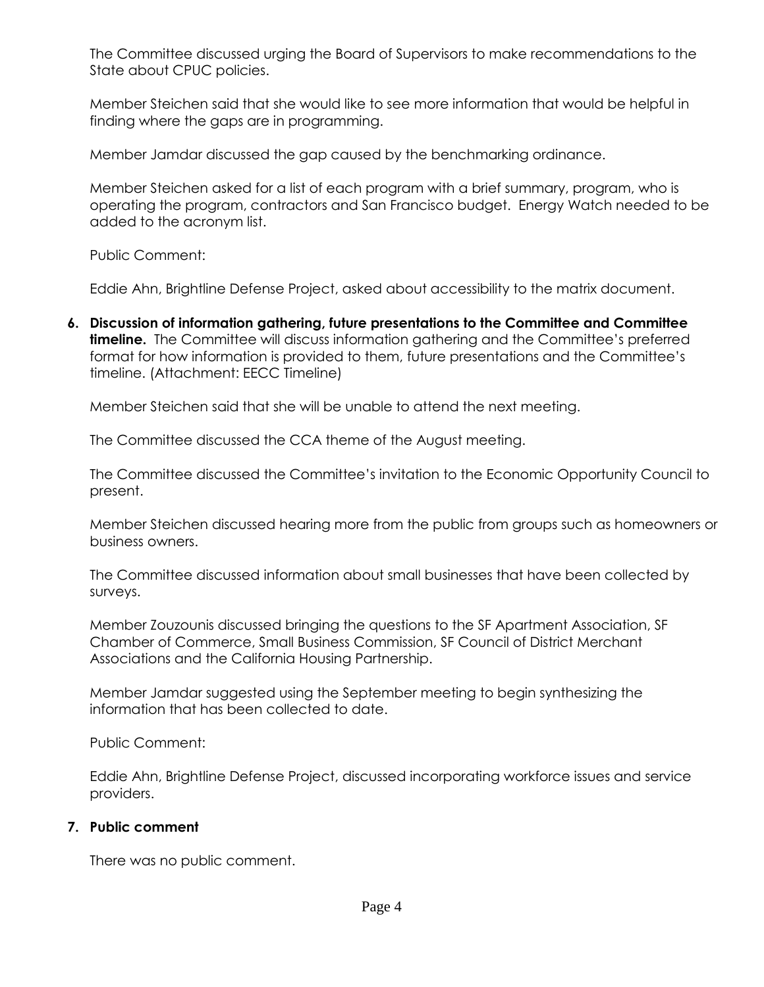The Committee discussed urging the Board of Supervisors to make recommendations to the State about CPUC policies.

Member Steichen said that she would like to see more information that would be helpful in finding where the gaps are in programming.

Member Jamdar discussed the gap caused by the benchmarking ordinance.

Member Steichen asked for a list of each program with a brief summary, program, who is operating the program, contractors and San Francisco budget. Energy Watch needed to be added to the acronym list.

Public Comment:

Eddie Ahn, Brightline Defense Project, asked about accessibility to the matrix document.

**6. Discussion of information gathering, future presentations to the Committee and Committee timeline.** The Committee will discuss information gathering and the Committee's preferred format for how information is provided to them, future presentations and the Committee's timeline. (Attachment: EECC Timeline)

Member Steichen said that she will be unable to attend the next meeting.

The Committee discussed the CCA theme of the August meeting.

The Committee discussed the Committee's invitation to the Economic Opportunity Council to present.

Member Steichen discussed hearing more from the public from groups such as homeowners or business owners.

The Committee discussed information about small businesses that have been collected by surveys.

Member Zouzounis discussed bringing the questions to the SF Apartment Association, SF Chamber of Commerce, Small Business Commission, SF Council of District Merchant Associations and the California Housing Partnership.

Member Jamdar suggested using the September meeting to begin synthesizing the information that has been collected to date.

Public Comment:

Eddie Ahn, Brightline Defense Project, discussed incorporating workforce issues and service providers.

## **7. Public comment**

There was no public comment.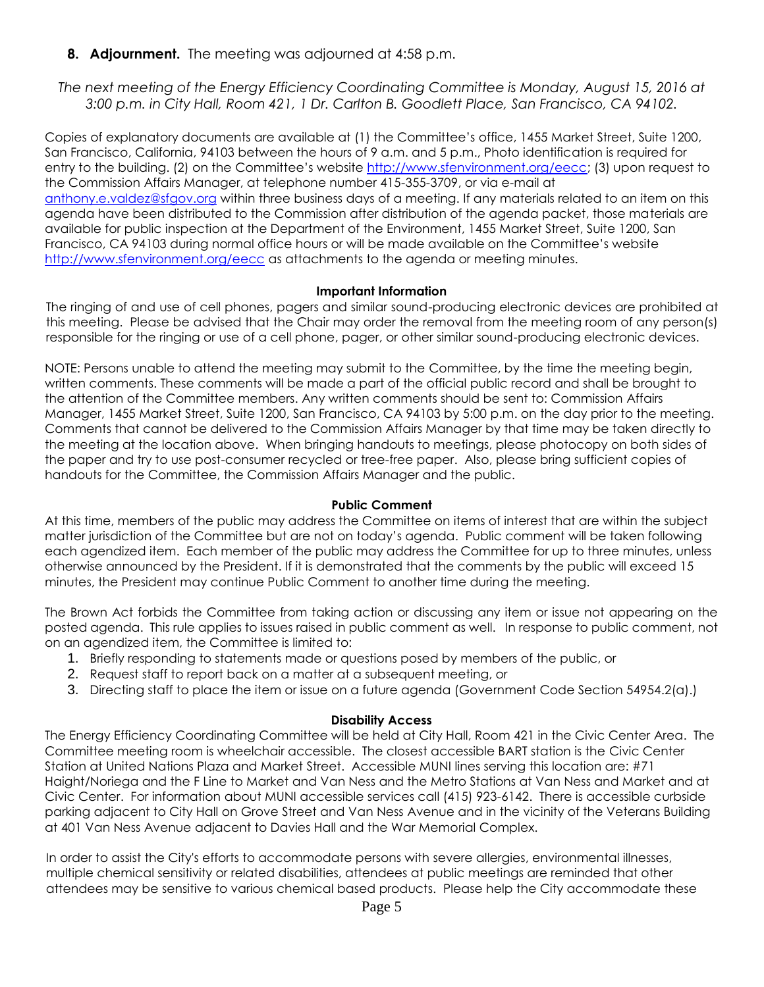**8. Adjournment.** The meeting was adjourned at 4:58 p.m.

*The next meeting of the Energy Efficiency Coordinating Committee is Monday, August 15, 2016 at 3:00 p.m. in City Hall, Room 421, 1 Dr. Carlton B. Goodlett Place, San Francisco, CA 94102.*

Copies of explanatory documents are available at (1) the Committee's office, 1455 Market Street, Suite 1200, San Francisco, California, 94103 between the hours of 9 a.m. and 5 p.m., Photo identification is required for entry to the building. (2) on the Committee's website http://www.sfenvironment.org/eecc; (3) upon request to the Commission Affairs Manager, at telephone number 415-355-3709, or via e-mail at [anthony.e.valdez@sfgov.org](mailto:anthony.e.valdez@sfgov.org) within three business days of a meeting. If any materials related to an item on this agenda have been distributed to the Commission after distribution of the agenda packet, those materials are available for public inspection at the Department of the Environment, 1455 Market Street, Suite 1200, San Francisco, CA 94103 during normal office hours or will be made available on the Committee's website <http://www.sfenvironment.org/eecc> as attachments to the agenda or meeting minutes.

### **Important Information**

The ringing of and use of cell phones, pagers and similar sound-producing electronic devices are prohibited at this meeting. Please be advised that the Chair may order the removal from the meeting room of any person(s) responsible for the ringing or use of a cell phone, pager, or other similar sound-producing electronic devices.

NOTE: Persons unable to attend the meeting may submit to the Committee, by the time the meeting begin, written comments. These comments will be made a part of the official public record and shall be brought to the attention of the Committee members. Any written comments should be sent to: Commission Affairs Manager, 1455 Market Street, Suite 1200, San Francisco, CA 94103 by 5:00 p.m. on the day prior to the meeting. Comments that cannot be delivered to the Commission Affairs Manager by that time may be taken directly to the meeting at the location above. When bringing handouts to meetings, please photocopy on both sides of the paper and try to use post-consumer recycled or tree-free paper. Also, please bring sufficient copies of handouts for the Committee, the Commission Affairs Manager and the public.

### **Public Comment**

At this time, members of the public may address the Committee on items of interest that are within the subject matter jurisdiction of the Committee but are not on today's agenda. Public comment will be taken following each agendized item. Each member of the public may address the Committee for up to three minutes, unless otherwise announced by the President. If it is demonstrated that the comments by the public will exceed 15 minutes, the President may continue Public Comment to another time during the meeting.

The Brown Act forbids the Committee from taking action or discussing any item or issue not appearing on the posted agenda. This rule applies to issues raised in public comment as well. In response to public comment, not on an agendized item, the Committee is limited to:

- 1. Briefly responding to statements made or questions posed by members of the public, or
- 2. Request staff to report back on a matter at a subsequent meeting, or
- 3. Directing staff to place the item or issue on a future agenda (Government Code Section 54954.2(a).)

### **Disability Access**

The Energy Efficiency Coordinating Committee will be held at City Hall, Room 421 in the Civic Center Area. The Committee meeting room is wheelchair accessible. The closest accessible BART station is the Civic Center Station at United Nations Plaza and Market Street. Accessible MUNI lines serving this location are: #71 Haight/Noriega and the F Line to Market and Van Ness and the Metro Stations at Van Ness and Market and at Civic Center. For information about MUNI accessible services call (415) 923-6142. There is accessible curbside parking adjacent to City Hall on Grove Street and Van Ness Avenue and in the vicinity of the Veterans Building at 401 Van Ness Avenue adjacent to Davies Hall and the War Memorial Complex.

In order to assist the City's efforts to accommodate persons with severe allergies, environmental illnesses, multiple chemical sensitivity or related disabilities, attendees at public meetings are reminded that other attendees may be sensitive to various chemical based products. Please help the City accommodate these